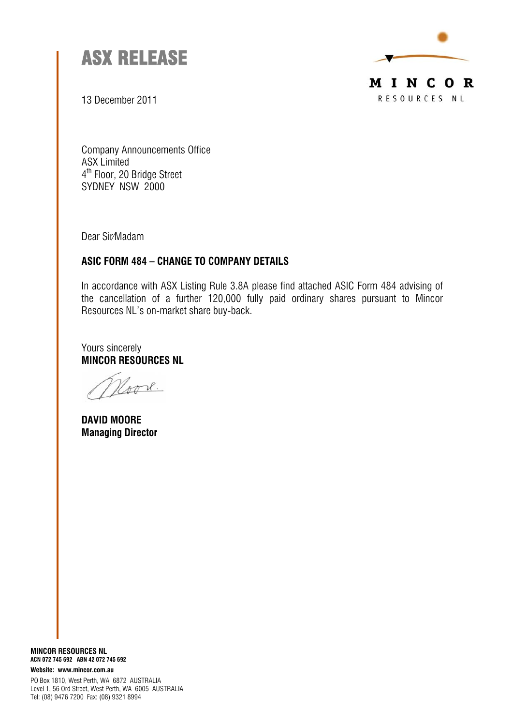



13 December 2011

Company Announcements Office ASX Limited 4<sup>th</sup> Floor, 20 Bridge Street SYDNEY NSW 2000

Dear Sir/Madam

## *ASIC FORM 484 – CHANGE TO COMPANY DETAILS*

In accordance with ASX Listing Rule 3.8A please find attached ASIC Form 484 advising of the cancellation of a further 120,000 fully paid ordinary shares pursuant to Mincor Resources NL's on-market share buy-back.

Yours sincerely *MINCOR RESOURCES NL* 

ook.

*DAVID MOORE Managing Director* 

*MINCOR RESOURCES NL ACN 072 745 692 ABN 42 072 745 692 Website: www.mincor.com.au* 

PO Box 1810, West Perth, WA 6872 AUSTRALIA Level 1, 56 Ord Street, West Perth, WA 6005 AUSTRALIA Tel: (08) 9476 7200 Fax: (08) 9321 8994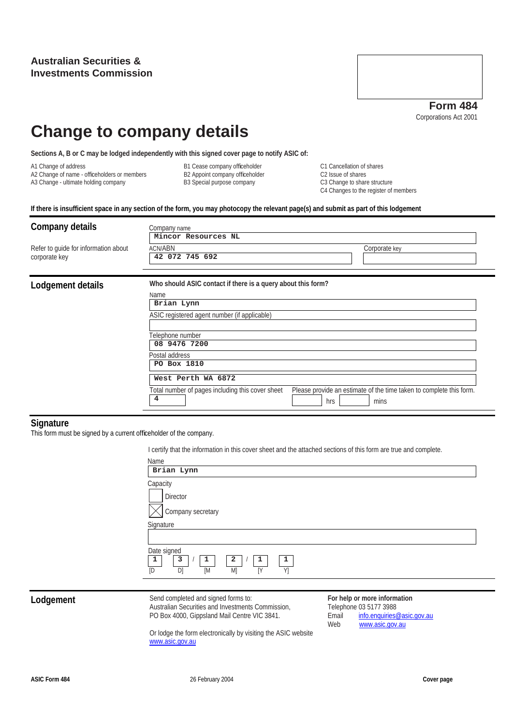A2 Change of name - officeholders or members



# **Change to company details**

**Sections A, B or C may be lodged independently with this signed cover page to notify ASIC of:** 

- 
- 

A1 Change of address C1 Cancellation of shares<br>A2 Change of name - officeholders or members B2 Appoint company officeholder C2 Issue of shares C2 Issue of shares A3 Change - ultimate holding company **B3** Special purpose company C3 Change to share structure C4 Changes to the register of members

**If there is insufficient space in any section of the form, you may photocopy the relevant page(s) and submit as part of this lodgement** 

| Company details<br>Company name<br>Mincor Resources NL |                                                                                                                                                                                                                                                                                                                                                                              |  |  |  |  |  |
|--------------------------------------------------------|------------------------------------------------------------------------------------------------------------------------------------------------------------------------------------------------------------------------------------------------------------------------------------------------------------------------------------------------------------------------------|--|--|--|--|--|
| Refer to guide for information about<br>corporate key  | <b>ACN/ABN</b><br>Corporate key<br>42 072 745 692                                                                                                                                                                                                                                                                                                                            |  |  |  |  |  |
| Lodgement details                                      | Who should ASIC contact if there is a query about this form?<br>Name<br>Brian Lynn<br>ASIC registered agent number (if applicable)<br>Felephone number<br>08 9476 7200<br>Postal address<br>PO Box 1810<br>West Perth WA 6872<br>Please provide an estimate of the time taken to complete this form.<br>Total number of pages including this cover sheet<br>4<br>hrs<br>mins |  |  |  |  |  |

## **Signature**

This form must be signed by a current officeholder of the company.

I certify that the information in this cover sheet and the attached sections of this form are true and complete.

| Name<br>Brian Lynn                                                                              |
|-------------------------------------------------------------------------------------------------|
| Capacity<br>Director<br>Company secretary                                                       |
| Signature                                                                                       |
| Date signed<br>3<br>1<br>$\overline{a}$<br>1<br>$\mathbf{1}$<br>1<br>Y]<br>IY<br>D)<br>[M<br>M] |

**Lodgement** Send completed and signed forms to: Australian Securities and Investments Commission, PO Box 4000, Gippsland Mail Centre VIC 3841.

**For help or more information**  Telephone 03 5177 3988 Email info.enquiries@asic.gov.au Web www.asic.gov.au

Or lodge the form electronically by visiting the ASIC website www.asic.gov.au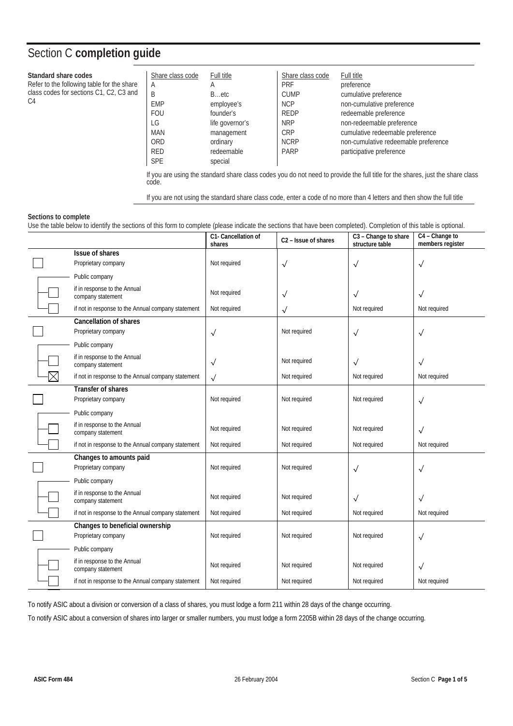## Section C **completion guide**

### **Standard share codes**

Refer to the following table for the share class codes for sections C1, C2, C3 and  $C<sub>4</sub>$ 

| Share class code | Full title      | Share class code | Full title                           |
|------------------|-----------------|------------------|--------------------------------------|
| Α                | A               | <b>PRF</b>       | preference                           |
| B                | Betc            | <b>CUMP</b>      | cumulative preference                |
| <b>EMP</b>       | employee's      | <b>NCP</b>       | non-cumulative preference            |
| <b>FOU</b>       | founder's       | <b>REDP</b>      | redeemable preference                |
| LG               | life governor's | <b>NRP</b>       | non-redeemable preference            |
| MAN              | management      | CRP              | cumulative redeemable preference     |
| <b>ORD</b>       | ordinary        | <b>NCRP</b>      | non-cumulative redeemable preference |
| <b>RED</b>       | redeemable      | <b>PARP</b>      | participative preference             |
| <b>SPE</b>       | special         |                  |                                      |

If you are using the standard share class codes you do not need to provide the full title for the shares, just the share class code.

If you are not using the standard share class code, enter a code of no more than 4 letters and then show the full title

### **Sections to complete**

Use the table below to identify the sections of this form to complete (please indicate the sections that have been completed). Completion of this table is optional.

|             |                                                      | C1- Cancellation of<br>shares | C <sub>2</sub> - Issue of shares | C3 - Change to share<br>structure table | C4 - Change to<br>members register |
|-------------|------------------------------------------------------|-------------------------------|----------------------------------|-----------------------------------------|------------------------------------|
|             | Issue of shares                                      |                               |                                  |                                         |                                    |
|             | Proprietary company                                  | Not required                  | $\sqrt{}$                        | $\sqrt{}$                               | $\checkmark$                       |
|             | Public company                                       |                               |                                  |                                         |                                    |
|             | if in response to the Annual<br>company statement    | Not required                  | $\checkmark$                     | $\sqrt{}$                               | $\checkmark$                       |
|             | if not in response to the Annual company statement   | Not required                  | $\checkmark$                     | Not required                            | Not required                       |
|             | <b>Cancellation of shares</b><br>Proprietary company | $\checkmark$                  | Not required                     | $\sqrt{}$                               | $\sqrt{}$                          |
|             | Public company                                       |                               |                                  |                                         |                                    |
|             | if in response to the Annual<br>company statement    | $\sqrt{}$                     | Not required                     | $\sqrt{}$                               | $\sqrt{}$                          |
| $\boxtimes$ | if not in response to the Annual company statement   | $\sqrt{}$                     | Not required                     | Not required                            | Not required                       |
|             | Transfer of shares<br>Proprietary company            | Not required                  | Not required                     | Not required                            | $\checkmark$                       |
|             | Public company                                       |                               |                                  |                                         |                                    |
|             | if in response to the Annual<br>company statement    | Not required                  | Not required                     | Not required                            | $\checkmark$                       |
|             | if not in response to the Annual company statement   | Not required                  | Not required                     | Not required                            | Not required                       |
|             | Changes to amounts paid<br>Proprietary company       | Not required                  | Not required                     | $\sqrt{ }$                              | $\checkmark$                       |
|             | Public company                                       |                               |                                  |                                         |                                    |
|             | if in response to the Annual<br>company statement    | Not required                  | Not required                     | $\sqrt{}$                               | $\checkmark$                       |
|             | if not in response to the Annual company statement   | Not required                  | Not required                     | Not required                            | Not required                       |
|             | Changes to beneficial ownership                      |                               |                                  |                                         |                                    |
|             | Proprietary company                                  | Not required                  | Not required                     | Not required                            | $\checkmark$                       |
|             | Public company                                       |                               |                                  |                                         |                                    |
|             | if in response to the Annual<br>company statement    | Not required                  | Not required                     | Not required                            | $\sqrt{}$                          |
|             | if not in response to the Annual company statement   | Not required                  | Not required                     | Not required                            | Not required                       |

To notify ASIC about a division or conversion of a class of shares, you must lodge a form 211 within 28 days of the change occurring.

To notify ASIC about a conversion of shares into larger or smaller numbers, you must lodge a form 2205B within 28 days of the change occurring.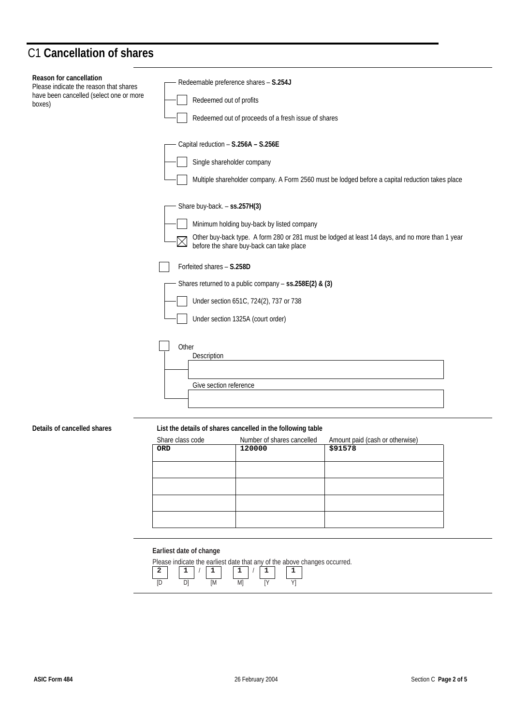## C1 **Cancellation of shares**

| Reason for cancellation<br>Please indicate the reason that shares<br>have been cancelled (select one or more<br>boxes) | Redeemable preference shares - S.254J<br>Redeemed out of profits<br>Redeemed out of proceeds of a fresh issue of shares                                                                                                                                                                                                         |
|------------------------------------------------------------------------------------------------------------------------|---------------------------------------------------------------------------------------------------------------------------------------------------------------------------------------------------------------------------------------------------------------------------------------------------------------------------------|
|                                                                                                                        | Capital reduction - S.256A - S.256E<br>Single shareholder company<br>Multiple shareholder company. A Form 2560 must be lodged before a capital reduction takes place                                                                                                                                                            |
|                                                                                                                        | Share buy-back. - ss.257H(3)<br>Minimum holding buy-back by listed company<br>Other buy-back type. A form 280 or 281 must be lodged at least 14 days, and no more than 1 year<br>$\boxtimes$<br>before the share buy-back can take place<br>Forfeited shares - S.258D<br>Shares returned to a public company - ss.258E(2) & (3) |
|                                                                                                                        | Under section 651C, 724(2), 737 or 738<br>Under section 1325A (court order)                                                                                                                                                                                                                                                     |
|                                                                                                                        | Other<br>Description<br>Give section reference                                                                                                                                                                                                                                                                                  |

### **Details of cancelled shares List the details of shares cancelled in the following table**

| Share class code | Number of shares cancelled | Amount paid (cash or otherwise) |
|------------------|----------------------------|---------------------------------|
| <b>ORD</b>       | 120000                     | \$91578                         |
|                  |                            |                                 |
|                  |                            |                                 |
|                  |                            |                                 |
|                  |                            |                                 |
|                  |                            |                                 |
|                  |                            |                                 |
|                  |                            |                                 |
|                  |                            |                                 |

## **Earliest date of change**